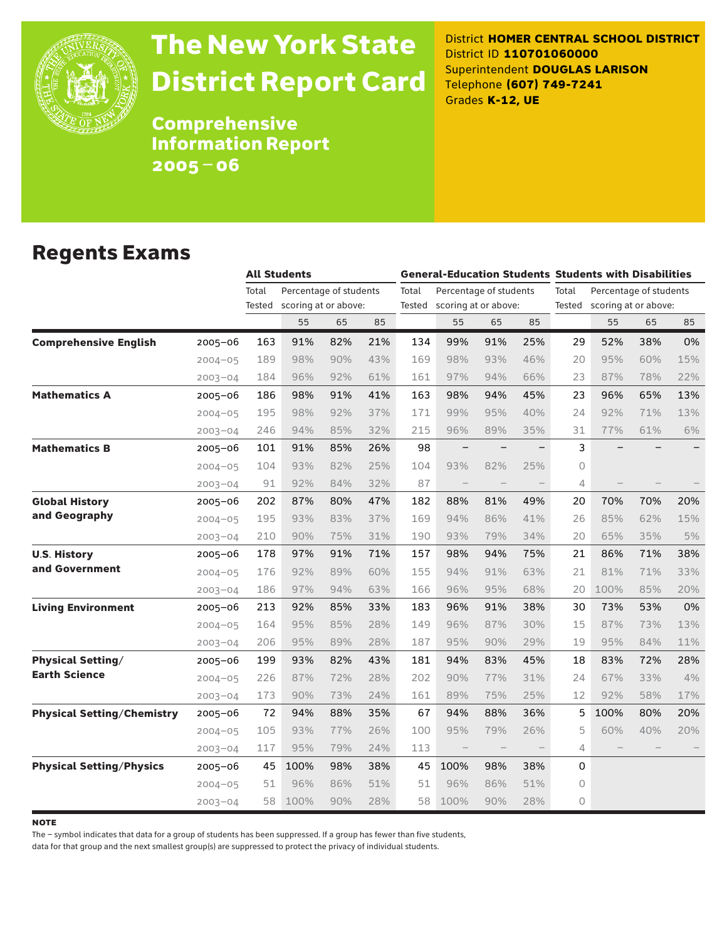

# The New York State District Report Card

District **HOMER CENTRAL SCHOOL DISTRICT** District ID **110701060000** Superintendent **DOUGLAS LARISON** Telephone **(607) 749-7241** Grades **K-12, UE**

**Comprehensive** Information Report 2005–06

### Regents Exams

|                                   |             |                 | <b>All Students</b>                            |     |     |       | <b>General-Education Students Students with Disabilities</b> |                   |                   |          |                                                       |     |     |  |
|-----------------------------------|-------------|-----------------|------------------------------------------------|-----|-----|-------|--------------------------------------------------------------|-------------------|-------------------|----------|-------------------------------------------------------|-----|-----|--|
|                                   |             | Total<br>Tested | Percentage of students<br>scoring at or above: |     |     | Total | Percentage of students<br>Tested scoring at or above:        |                   |                   | Total    | Percentage of students<br>Tested scoring at or above: |     |     |  |
|                                   |             |                 | 55                                             | 65  | 85  |       | 55                                                           | 65                | 85                |          | 55                                                    | 65  | 85  |  |
| <b>Comprehensive English</b>      | $2005 - 06$ | 163             | 91%                                            | 82% | 21% | 134   | 99%                                                          | 91%               | 25%               | 29       | 52%                                                   | 38% | 0%  |  |
|                                   | $2004 - 05$ | 189             | 98%                                            | 90% | 43% | 169   | 98%                                                          | 93%               | 46%               | 20       | 95%                                                   | 60% | 15% |  |
|                                   | $2003 - 04$ | 184             | 96%                                            | 92% | 61% | 161   | 97%                                                          | 94%               | 66%               | 23       | 87%                                                   | 78% | 22% |  |
| <b>Mathematics A</b>              | $2005 - 06$ | 186             | 98%                                            | 91% | 41% | 163   | 98%                                                          | 94%               | 45%               | 23       | 96%                                                   | 65% | 13% |  |
|                                   | $2004 - 05$ | 195             | 98%                                            | 92% | 37% | 171   | 99%                                                          | 95%               | 40%               | 24       | 92%                                                   | 71% | 13% |  |
|                                   | $2003 - 04$ | 246             | 94%                                            | 85% | 32% | 215   | 96%                                                          | 89%               | 35%               | 31       | 77%                                                   | 61% | 6%  |  |
| <b>Mathematics B</b>              | $2005 - 06$ | 101             | 91%                                            | 85% | 26% | 98    |                                                              |                   |                   | 3        |                                                       |     |     |  |
|                                   | $2004 - 05$ | 104             | 93%                                            | 82% | 25% | 104   | 93%                                                          | 82%               | 25%               | $\Omega$ |                                                       |     |     |  |
|                                   | $2003 - 04$ | 91              | 92%                                            | 84% | 32% | 87    |                                                              |                   |                   | 4        |                                                       |     |     |  |
| <b>Global History</b>             | $2005 - 06$ | 202             | 87%                                            | 80% | 47% | 182   | 88%                                                          | 81%               | 49%               | 20       | 70%                                                   | 70% | 20% |  |
| and Geography                     | $2004 - 05$ | 195             | 93%                                            | 83% | 37% | 169   | 94%                                                          | 86%               | 41%               | 26       | 85%                                                   | 62% | 15% |  |
|                                   | $2003 - 04$ | 210             | 90%                                            | 75% | 31% | 190   | 93%                                                          | 79%               | 34%               | 20       | 65%                                                   | 35% | 5%  |  |
| <b>U.S. History</b>               | 2005-06     | 178             | 97%                                            | 91% | 71% | 157   | 98%                                                          | 94%               | 75%               | 21       | 86%                                                   | 71% | 38% |  |
| and Government                    | $2004 - 05$ | 176             | 92%                                            | 89% | 60% | 155   | 94%                                                          | 91%               | 63%               | 21       | 81%                                                   | 71% | 33% |  |
|                                   | $2003 - 04$ | 186             | 97%                                            | 94% | 63% | 166   | 96%                                                          | 95%               | 68%               | 20       | 100%                                                  | 85% | 20% |  |
| <b>Living Environment</b>         | $2005 - 06$ | 213             | 92%                                            | 85% | 33% | 183   | 96%                                                          | 91%               | 38%               | 30       | 73%                                                   | 53% | 0%  |  |
|                                   | $2004 - 05$ | 164             | 95%                                            | 85% | 28% | 149   | 96%                                                          | 87%               | 30%               | 15       | 87%                                                   | 73% | 13% |  |
|                                   | $2003 - 04$ | 206             | 95%                                            | 89% | 28% | 187   | 95%                                                          | 90%               | 29%               | 19       | 95%                                                   | 84% | 11% |  |
| <b>Physical Setting/</b>          | $2005 - 06$ | 199             | 93%                                            | 82% | 43% | 181   | 94%                                                          | 83%               | 45%               | 18       | 83%                                                   | 72% | 28% |  |
| <b>Earth Science</b>              | $2004 - 05$ | 226             | 87%                                            | 72% | 28% | 202   | 90%                                                          | 77%               | 31%               | 24       | 67%                                                   | 33% | 4%  |  |
|                                   | $2003 - 04$ | 173             | 90%                                            | 73% | 24% | 161   | 89%                                                          | 75%               | 25%               | 12       | 92%                                                   | 58% | 17% |  |
| <b>Physical Setting/Chemistry</b> | $2005 - 06$ | 72              | 94%                                            | 88% | 35% | 67    | 94%                                                          | 88%               | 36%               | 5        | 100%                                                  | 80% | 20% |  |
|                                   | $2004 - 05$ | 105             | 93%                                            | 77% | 26% | 100   | 95%                                                          | 79%               | 26%               | 5        | 60%                                                   | 40% | 20% |  |
|                                   | $2003 - 04$ | 117             | 95%                                            | 79% | 24% | 113   | $\overline{\phantom{a}}$                                     | $\qquad \qquad -$ | $\qquad \qquad -$ | 4        |                                                       |     |     |  |
| <b>Physical Setting/Physics</b>   | $2005 - 06$ | 45              | 100%                                           | 98% | 38% | 45    | 100%                                                         | 98%               | 38%               | $\Omega$ |                                                       |     |     |  |
|                                   | $2004 - 05$ | 51              | 96%                                            | 86% | 51% | 51    | 96%                                                          | 86%               | 51%               | $\circ$  |                                                       |     |     |  |
|                                   | $2003 - 04$ | 58              | 100%                                           | 90% | 28% | 58    | 100%                                                         | 90%               | 28%               | $\Omega$ |                                                       |     |     |  |

**NOTE** 

The – symbol indicates that data for a group of students has been suppressed. If a group has fewer than five students,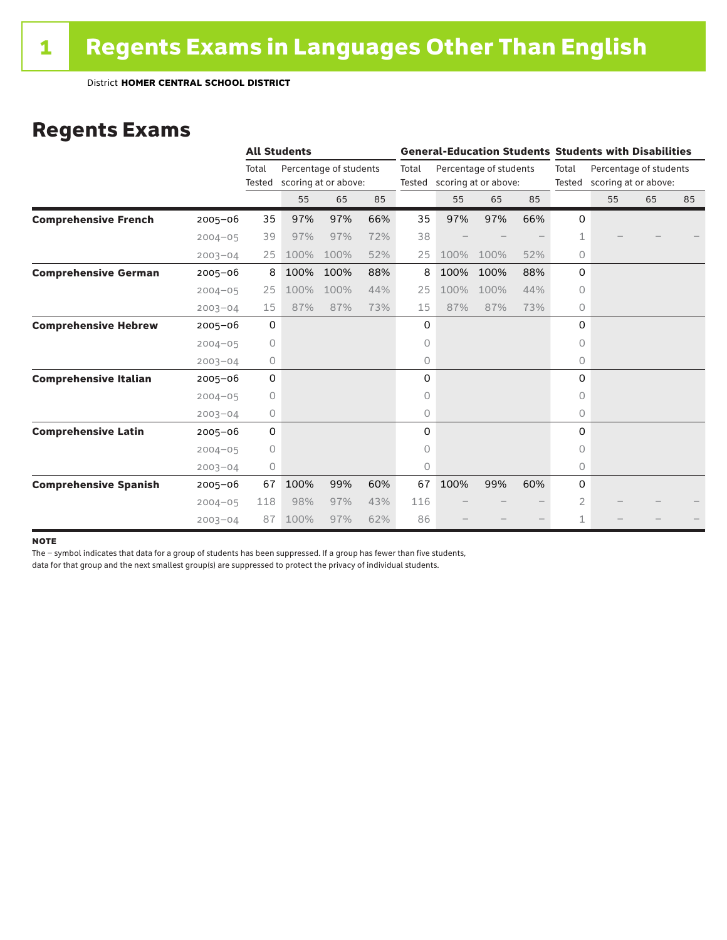### Regents Exams

|                              |             | <b>All Students</b> |      |                                                |     | <b>General-Education Students Students with Disabilities</b> |      |                                                       |     |                 |                                                |    |    |
|------------------------------|-------------|---------------------|------|------------------------------------------------|-----|--------------------------------------------------------------|------|-------------------------------------------------------|-----|-----------------|------------------------------------------------|----|----|
|                              |             | Total<br>Tested     |      | Percentage of students<br>scoring at or above: |     | Total                                                        |      | Percentage of students<br>Tested scoring at or above: |     | Total<br>Tested | Percentage of students<br>scoring at or above: |    |    |
|                              |             |                     | 55   | 65                                             | 85  |                                                              | 55   | 65                                                    | 85  |                 | 55                                             | 65 | 85 |
| <b>Comprehensive French</b>  | $2005 - 06$ | 35                  | 97%  | 97%                                            | 66% | 35                                                           | 97%  | 97%                                                   | 66% | 0               |                                                |    |    |
|                              | $2004 - 05$ | 39                  | 97%  | 97%                                            | 72% | 38                                                           |      |                                                       |     | 1               |                                                |    |    |
|                              | $2003 - 04$ | 25                  | 100% | 100%                                           | 52% | 25                                                           | 100% | 100%                                                  | 52% | 0               |                                                |    |    |
| <b>Comprehensive German</b>  | $2005 - 06$ | 8                   | 100% | 100%                                           | 88% | 8                                                            | 100% | 100%                                                  | 88% | 0               |                                                |    |    |
|                              | $2004 - 05$ | 25                  | 100% | 100%                                           | 44% | 25                                                           | 100% | 100%                                                  | 44% | 0               |                                                |    |    |
|                              | $2003 - 04$ | 15                  | 87%  | 87%                                            | 73% | 15                                                           | 87%  | 87%                                                   | 73% | $\circ$         |                                                |    |    |
| <b>Comprehensive Hebrew</b>  | $2005 - 06$ | $\mathbf 0$         |      |                                                |     | 0                                                            |      |                                                       |     | 0               |                                                |    |    |
|                              | $2004 - 05$ | $\circ$             |      |                                                |     | 0                                                            |      |                                                       |     | $\Omega$        |                                                |    |    |
|                              | $2003 - 04$ | 0                   |      |                                                |     | 0                                                            |      |                                                       |     | 0               |                                                |    |    |
| <b>Comprehensive Italian</b> | $2005 - 06$ | 0                   |      |                                                |     | 0                                                            |      |                                                       |     | 0               |                                                |    |    |
|                              | $2004 - 05$ | $\circ$             |      |                                                |     | 0                                                            |      |                                                       |     | $\Omega$        |                                                |    |    |
|                              | $2003 - 04$ | 0                   |      |                                                |     | 0                                                            |      |                                                       |     | 0               |                                                |    |    |
| <b>Comprehensive Latin</b>   | $2005 - 06$ | 0                   |      |                                                |     | 0                                                            |      |                                                       |     | 0               |                                                |    |    |
|                              | $2004 - 05$ | 0                   |      |                                                |     | 0                                                            |      |                                                       |     | 0               |                                                |    |    |
|                              | $2003 - 04$ | 0                   |      |                                                |     | 0                                                            |      |                                                       |     | 0               |                                                |    |    |
| <b>Comprehensive Spanish</b> | $2005 - 06$ | 67                  | 100% | 99%                                            | 60% | 67                                                           | 100% | 99%                                                   | 60% | 0               |                                                |    |    |
|                              | $2004 - 05$ | 118                 | 98%  | 97%                                            | 43% | 116                                                          |      |                                                       |     | 2               |                                                |    |    |
|                              | $2003 - 04$ | 87                  | 100% | 97%                                            | 62% | 86                                                           |      |                                                       |     | 1               |                                                |    |    |

#### **NOTE**

The – symbol indicates that data for a group of students has been suppressed. If a group has fewer than five students,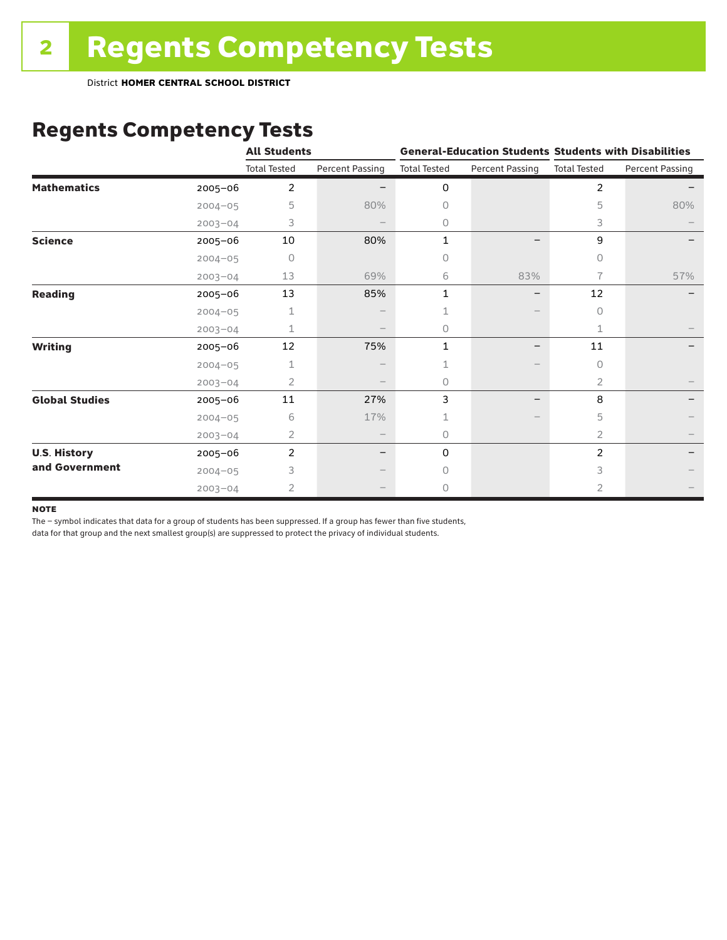District **HOMER CENTRAL SCHOOL DISTRICT**

# Regents Competency Tests

|                       |             | <b>All Students</b> |                          |                     |                          | <b>General-Education Students Students with Disabilities</b> |                        |  |  |
|-----------------------|-------------|---------------------|--------------------------|---------------------|--------------------------|--------------------------------------------------------------|------------------------|--|--|
|                       |             | <b>Total Tested</b> | <b>Percent Passing</b>   | <b>Total Tested</b> | <b>Percent Passing</b>   | <b>Total Tested</b>                                          | <b>Percent Passing</b> |  |  |
| <b>Mathematics</b>    | $2005 - 06$ | $\overline{2}$      |                          | 0                   |                          | $\overline{2}$                                               |                        |  |  |
|                       | $2004 - 05$ | 5                   | 80%                      | 0                   |                          | 5                                                            | 80%                    |  |  |
|                       | $2003 - 04$ | 3                   |                          | 0                   |                          | 3                                                            |                        |  |  |
| <b>Science</b>        | 2005-06     | 10                  | 80%                      | 1                   |                          | 9                                                            |                        |  |  |
|                       | $2004 - 05$ | 0                   |                          | 0                   |                          | 0                                                            |                        |  |  |
|                       | $2003 - 04$ | 13                  | 69%                      | 6                   | 83%                      | 7                                                            | 57%                    |  |  |
| <b>Reading</b>        | 2005-06     | 13                  | 85%                      | 1                   | $\overline{\phantom{0}}$ | 12                                                           |                        |  |  |
|                       | $2004 - 05$ | 1                   |                          |                     |                          | $\circ$                                                      |                        |  |  |
|                       | $2003 - 04$ | $\mathbf 1$         |                          | 0                   |                          | 1                                                            |                        |  |  |
| <b>Writing</b>        | 2005-06     | 12                  | 75%                      | 1                   |                          | 11                                                           |                        |  |  |
|                       | $2004 - 05$ | 1                   |                          | 1                   |                          | $\circ$                                                      |                        |  |  |
|                       | $2003 - 04$ | 2                   |                          | 0                   |                          | $\overline{2}$                                               |                        |  |  |
| <b>Global Studies</b> | 2005-06     | 11                  | 27%                      | 3                   |                          | 8                                                            |                        |  |  |
|                       | $2004 - 05$ | 6                   | 17%                      | 1                   |                          | 5                                                            |                        |  |  |
|                       | $2003 - 04$ | 2                   | $\overline{\phantom{m}}$ | 0                   |                          | 2                                                            |                        |  |  |
| <b>U.S. History</b>   | 2005-06     | 2                   |                          | 0                   |                          | 2                                                            |                        |  |  |
| and Government        | $2004 - 05$ | 3                   |                          | $\Omega$            |                          | 3                                                            |                        |  |  |
|                       | $2003 - 04$ | 2                   |                          | 0                   |                          | 2                                                            |                        |  |  |

#### **NOTE**

The – symbol indicates that data for a group of students has been suppressed. If a group has fewer than five students,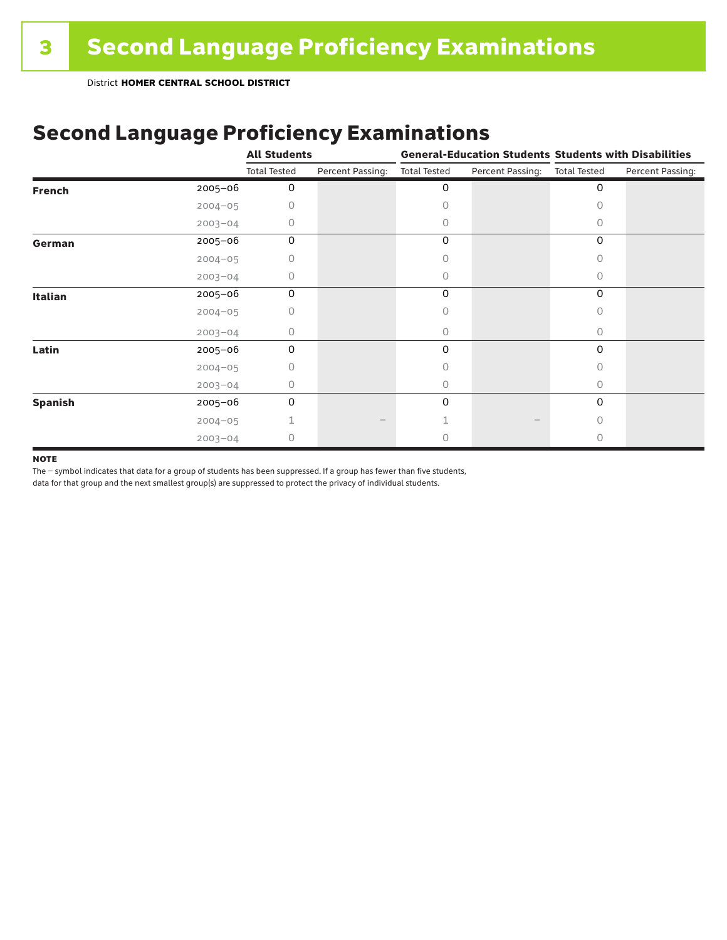# Second Language Proficiency Examinations

|                |             | <b>All Students</b> |                  |                     |                  | <b>General-Education Students Students with Disabilities</b> |                  |  |
|----------------|-------------|---------------------|------------------|---------------------|------------------|--------------------------------------------------------------|------------------|--|
|                |             | <b>Total Tested</b> | Percent Passing: | <b>Total Tested</b> | Percent Passing: | <b>Total Tested</b>                                          | Percent Passing: |  |
| <b>French</b>  | $2005 - 06$ | 0                   |                  | 0                   |                  | 0                                                            |                  |  |
|                | $2004 - 05$ | 0                   |                  | 0                   |                  | Ω                                                            |                  |  |
|                | $2003 - 04$ | 0                   |                  | 0                   |                  | O                                                            |                  |  |
| German         | 2005-06     | 0                   |                  | 0                   |                  | 0                                                            |                  |  |
|                | $2004 - 05$ | 0                   |                  | 0                   |                  | 0                                                            |                  |  |
|                | $2003 - 04$ | 0                   |                  | 0                   |                  | 0                                                            |                  |  |
| Italian        | 2005-06     | 0                   |                  | 0                   |                  | 0                                                            |                  |  |
|                | $2004 - 05$ | Ω                   |                  | 0                   |                  | O                                                            |                  |  |
|                | $2003 - 04$ | 0                   |                  | 0                   |                  | 0                                                            |                  |  |
| Latin          | 2005-06     | $\Omega$            |                  | 0                   |                  | $\Omega$                                                     |                  |  |
|                | $2004 - 05$ | Ω                   |                  | Ω                   |                  | O                                                            |                  |  |
|                | $2003 - 04$ | 0                   |                  | 0                   |                  | 0                                                            |                  |  |
| <b>Spanish</b> | 2005-06     | 0                   |                  | 0                   |                  | 0                                                            |                  |  |
|                | $2004 - 05$ |                     |                  |                     |                  | 0                                                            |                  |  |
|                | $2003 - 04$ | 0                   |                  |                     |                  | O                                                            |                  |  |

#### **NOTE**

The – symbol indicates that data for a group of students has been suppressed. If a group has fewer than five students,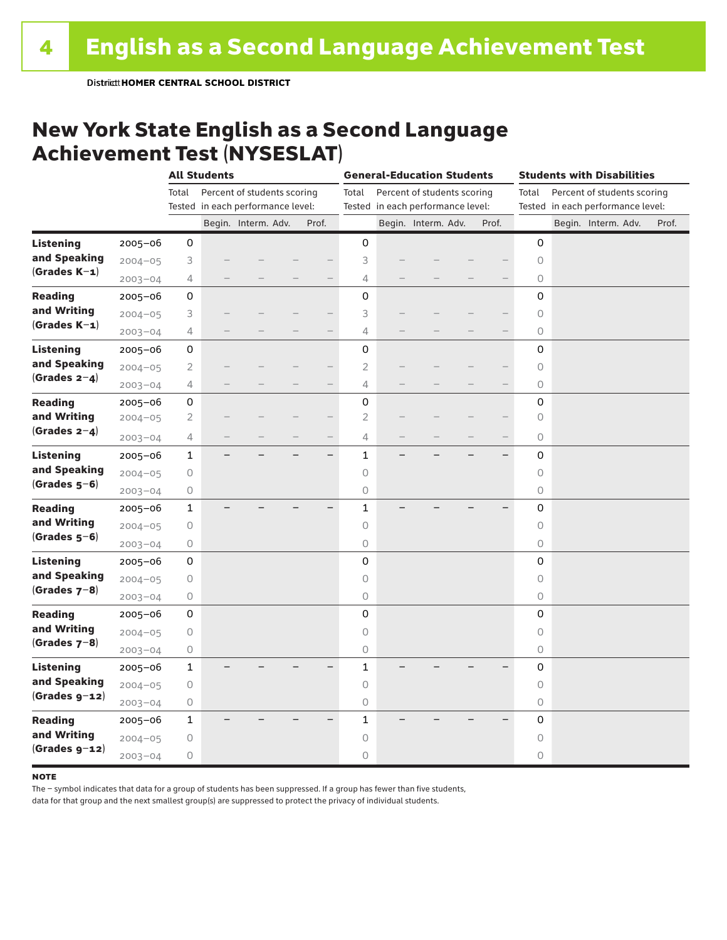### New York State English as a Second Language Achievement Test (NYSESLAT)

|                  |             |                     | <b>All Students</b> |                                   |                          | <b>General-Education Students</b> |  |                                   | <b>Students with Disabilities</b> |                     |  |                                   |  |       |
|------------------|-------------|---------------------|---------------------|-----------------------------------|--------------------------|-----------------------------------|--|-----------------------------------|-----------------------------------|---------------------|--|-----------------------------------|--|-------|
|                  |             | Total               |                     | Percent of students scoring       |                          | Total                             |  | Percent of students scoring       |                                   | Total               |  | Percent of students scoring       |  |       |
|                  |             |                     |                     | Tested in each performance level: |                          |                                   |  | Tested in each performance level: |                                   |                     |  | Tested in each performance level: |  |       |
|                  |             |                     |                     | Begin. Interm. Adv.               | Prof.                    |                                   |  | Begin. Interm. Adv.               | Prof.                             |                     |  | Begin. Interm. Adv.               |  | Prof. |
| <b>Listening</b> | 2005-06     | 0                   |                     |                                   |                          | 0                                 |  |                                   |                                   | 0                   |  |                                   |  |       |
| and Speaking     | $2004 - 05$ | 3                   |                     |                                   |                          | 3                                 |  |                                   |                                   | 0                   |  |                                   |  |       |
| $(Grades K-1)$   | $2003 - 04$ | 4                   |                     |                                   | —                        | 4                                 |  |                                   |                                   | 0                   |  |                                   |  |       |
| <b>Reading</b>   | $2005 - 06$ | 0                   |                     |                                   |                          | $\mathbf 0$                       |  |                                   |                                   | 0                   |  |                                   |  |       |
| and Writing      | $2004 - 05$ | 3                   |                     |                                   |                          | 3                                 |  |                                   |                                   | $\circ$             |  |                                   |  |       |
| $(Grades K-1)$   | $2003 - 04$ | 4                   |                     |                                   | $-$                      | 4                                 |  |                                   |                                   | $\circlearrowright$ |  |                                   |  |       |
| <b>Listening</b> | 2005-06     | 0                   |                     |                                   |                          | 0                                 |  |                                   |                                   | 0                   |  |                                   |  |       |
| and Speaking     | $2004 - 05$ | $\overline{2}$      |                     |                                   |                          | $\overline{2}$                    |  |                                   |                                   | $\circ$             |  |                                   |  |       |
| $(Grades 2-4)$   | $2003 - 04$ | 4                   |                     |                                   | $-$                      | 4                                 |  |                                   |                                   | $\circ$             |  |                                   |  |       |
| <b>Reading</b>   | 2005-06     | $\mathsf{O}\xspace$ |                     |                                   |                          | 0                                 |  |                                   |                                   | 0                   |  |                                   |  |       |
| and Writing      | $2004 - 05$ | $\mathbf{2}$        |                     |                                   |                          | $\overline{2}$                    |  |                                   |                                   | $\circlearrowright$ |  |                                   |  |       |
| (Grades $2-4$ )  | $2003 - 04$ | 4                   |                     |                                   | $\overline{\phantom{0}}$ | 4                                 |  |                                   |                                   | 0                   |  |                                   |  |       |
| <b>Listening</b> | $2005 - 06$ | $\mathbf{1}$        |                     |                                   | $-$                      | 1                                 |  |                                   | —                                 | 0                   |  |                                   |  |       |
| and Speaking     | $2004 - 05$ | $\mathsf O$         |                     |                                   |                          | 0                                 |  |                                   |                                   | $\circlearrowright$ |  |                                   |  |       |
| $(Grades 5-6)$   | $2003 - 04$ | $\mathsf O$         |                     |                                   |                          | 0                                 |  |                                   |                                   | $\circlearrowright$ |  |                                   |  |       |
| <b>Reading</b>   | $2005 - 06$ | $\mathbf{1}$        |                     |                                   |                          | 1                                 |  |                                   |                                   | 0                   |  |                                   |  |       |
| and Writing      | $2004 - 05$ | 0                   |                     |                                   |                          | 0                                 |  |                                   |                                   | 0                   |  |                                   |  |       |
| $(Grades 5-6)$   | $2003 - 04$ | 0                   |                     |                                   |                          | 0                                 |  |                                   |                                   | $\circlearrowright$ |  |                                   |  |       |
| <b>Listening</b> | 2005-06     | 0                   |                     |                                   |                          | 0                                 |  |                                   |                                   | 0                   |  |                                   |  |       |
| and Speaking     | $2004 - 05$ | $\mathsf O$         |                     |                                   |                          | 0                                 |  |                                   |                                   | 0                   |  |                                   |  |       |
| $(Grades 7-8)$   | $2003 - 04$ | $\mathsf O$         |                     |                                   |                          | 0                                 |  |                                   |                                   | 0                   |  |                                   |  |       |
| <b>Reading</b>   | $2005 - 06$ | 0                   |                     |                                   |                          | 0                                 |  |                                   |                                   | 0                   |  |                                   |  |       |
| and Writing      | $2004 - 05$ | $\bigcirc$          |                     |                                   |                          | $\overline{O}$                    |  |                                   |                                   | $\overline{0}$      |  |                                   |  |       |
| (Grades $7-8$ )  | $2003 - 04$ | $\bigcirc$          |                     |                                   |                          | 0                                 |  |                                   |                                   | $\circlearrowright$ |  |                                   |  |       |
| <b>Listening</b> | 2005-06     | $\mathbf{1}$        |                     |                                   |                          | 1                                 |  |                                   |                                   | 0                   |  |                                   |  |       |
| and Speaking     | $2004 - 05$ | $\mathsf O$         |                     |                                   |                          | 0                                 |  |                                   |                                   | $\circ$             |  |                                   |  |       |
| $(Grades g-12)$  | $2003 - 04$ | $\mathsf O$         |                     |                                   |                          | 0                                 |  |                                   |                                   | $\circ$             |  |                                   |  |       |
| <b>Reading</b>   | $2005 - 06$ | $\mathbf{1}$        |                     |                                   |                          | 1                                 |  |                                   |                                   | 0                   |  |                                   |  |       |
| and Writing      | $2004 - 05$ | $\mathsf O$         |                     |                                   |                          | 0                                 |  |                                   |                                   | 0                   |  |                                   |  |       |
| $(Grades g-12)$  | $2003 - 04$ | 0                   |                     |                                   |                          | 0                                 |  |                                   |                                   | 0                   |  |                                   |  |       |

#### **NOTE**

The – symbol indicates that data for a group of students has been suppressed. If a group has fewer than five students,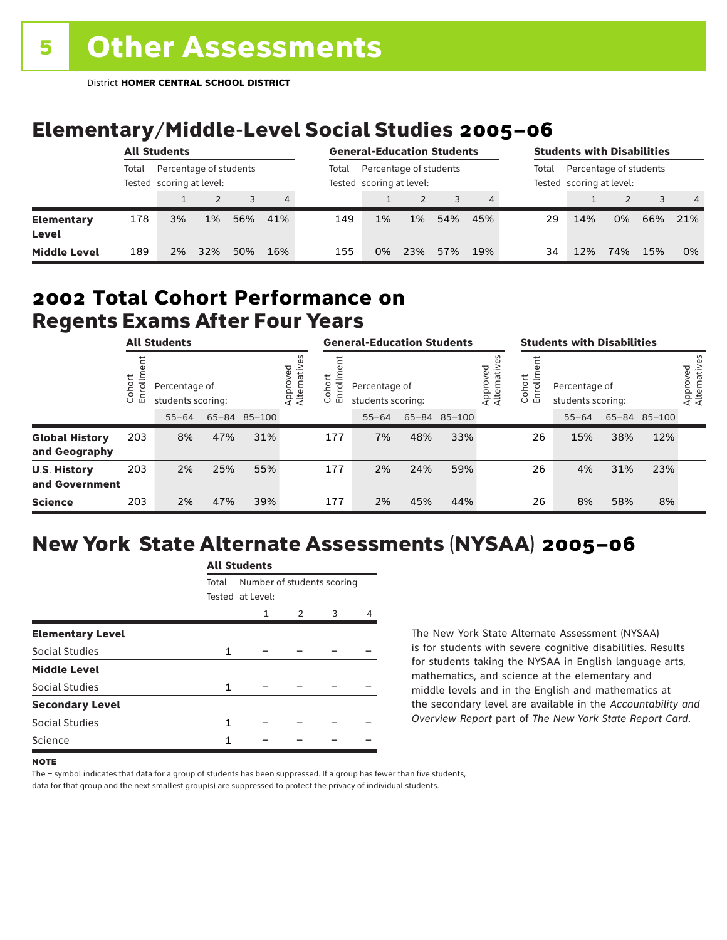# Elementary/Middle-Level Social Studies 2005–06

|                            | <b>All Students</b>                                         |    |     |     |       | <b>General-Education Students</b>                  |    |       |     |       | <b>Students with Disabilities</b>                  |     |     |     |                |
|----------------------------|-------------------------------------------------------------|----|-----|-----|-------|----------------------------------------------------|----|-------|-----|-------|----------------------------------------------------|-----|-----|-----|----------------|
|                            | Percentage of students<br>Total<br>Tested scoring at level: |    |     |     | Total | Percentage of students<br>Tested scoring at level: |    |       |     | Total | Percentage of students<br>Tested scoring at level: |     |     |     |                |
|                            |                                                             |    |     |     | 4     |                                                    |    |       |     | 4     |                                                    |     | 2   | 3   | $\overline{4}$ |
| <b>Elementary</b><br>Level | 178                                                         | 3% | 1%  | 56% | 41%   | 149                                                | 1% | $1\%$ | 54% | 45%   | 29                                                 | 14% | 0%  | 66% | 21%            |
| <b>Middle Level</b>        | 189                                                         | 2% | 32% | 50% | 16%   | 155                                                | 0% | 23%   | 57% | 19%   | 34                                                 | 12% | 74% | 15% | 0%             |

#### Regents Exams After Four Years 2002 **Total Cohort Performance on**

| <b>All Students</b>                    |                      |                                                    |     |     | <b>General-Education Students</b> |                  |                                    |     |              | <b>Students with Disabilities</b> |                  |                                    |     |              |                          |
|----------------------------------------|----------------------|----------------------------------------------------|-----|-----|-----------------------------------|------------------|------------------------------------|-----|--------------|-----------------------------------|------------------|------------------------------------|-----|--------------|--------------------------|
|                                        | ohort<br>S<br>ပ<br>ш | Percentage of<br>students scoring:<br>65-84 85-100 |     |     | Approved<br>Alternative           | Cohort<br>5<br>띧 | Percentage of<br>students scoring: |     |              | Approved<br>Alternative           | Cohort<br>S<br>ш | Percentage of<br>students scoring: |     |              | Approved<br>Alternatives |
|                                        |                      | $55 - 64$                                          |     |     |                                   |                  | $55 - 64$                          |     | 65-84 85-100 |                                   |                  | $55 - 64$                          |     | 65-84 85-100 |                          |
| <b>Global History</b><br>and Geography | 203                  | 8%                                                 | 47% | 31% |                                   | 177              | 7%                                 | 48% | 33%          |                                   | 26               | 15%                                | 38% | 12%          |                          |
| <b>U.S. History</b><br>and Government  | 203                  | 2%                                                 | 25% | 55% |                                   | 177              | 2%                                 | 24% | 59%          |                                   | 26               | 4%                                 | 31% | 23%          |                          |
| <b>Science</b>                         | 203                  | 2%                                                 | 47% | 39% |                                   | 177              | 2%                                 | 45% | 44%          |                                   | 26               | 8%                                 | 58% | 8%           |                          |

# New York State Alternate Assessments (NYSAA) 2005–06

| AU JUUUTIILS |                            |                  |   |   |  |  |  |  |  |
|--------------|----------------------------|------------------|---|---|--|--|--|--|--|
| Total        | Number of students scoring |                  |   |   |  |  |  |  |  |
|              | 1                          | 2                | 3 | Δ |  |  |  |  |  |
|              |                            |                  |   |   |  |  |  |  |  |
| 1            |                            |                  |   |   |  |  |  |  |  |
|              |                            |                  |   |   |  |  |  |  |  |
| 1            |                            |                  |   |   |  |  |  |  |  |
|              |                            |                  |   |   |  |  |  |  |  |
| 1            |                            |                  |   |   |  |  |  |  |  |
| 1            |                            |                  |   |   |  |  |  |  |  |
|              |                            | Tested at Level: |   |   |  |  |  |  |  |

All Canada

The New York State Alternate Assessment (NYSAA) is for students with severe cognitive disabilities. Results for students taking the NYSAA in English language arts, mathematics, and science at the elementary and middle levels and in the English and mathematics at the secondary level are available in the *Accountability and Overview Report* part of *The New York State Report Card*.

The – symbol indicates that data for a group of students has been suppressed. If a group has fewer than five students, data for that group and the next smallest group(s) are suppressed to protect the privacy of individual students.

**NOTE**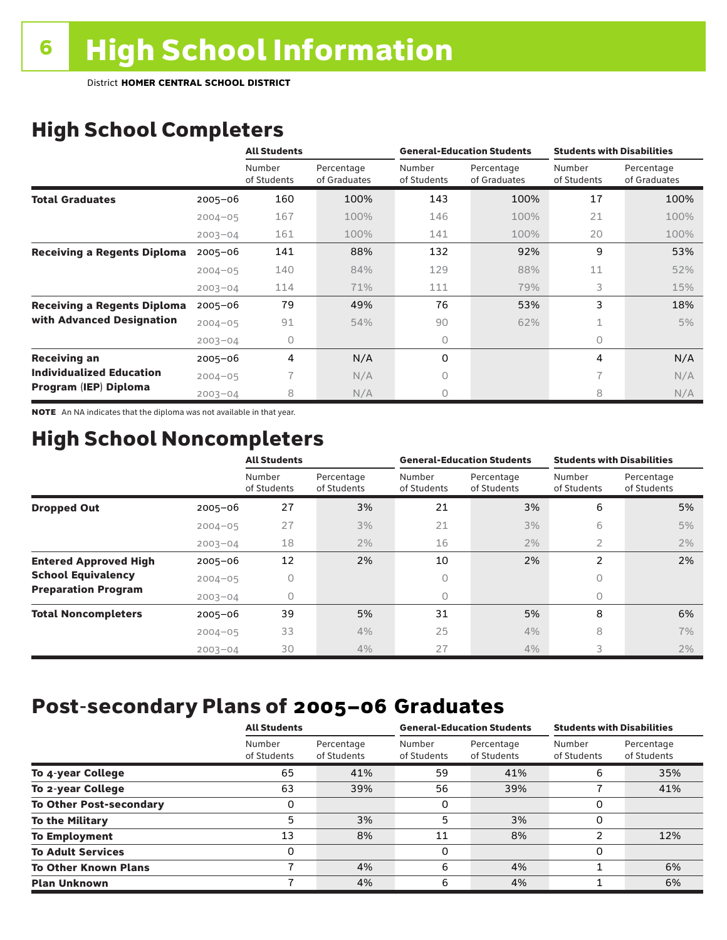# High School Completers

|                                    |             | <b>All Students</b>   |                            |                       | <b>General-Education Students</b> | <b>Students with Disabilities</b> |                            |  |
|------------------------------------|-------------|-----------------------|----------------------------|-----------------------|-----------------------------------|-----------------------------------|----------------------------|--|
|                                    |             | Number<br>of Students | Percentage<br>of Graduates | Number<br>of Students | Percentage<br>of Graduates        | Number<br>of Students             | Percentage<br>of Graduates |  |
| <b>Total Graduates</b>             | $2005 - 06$ | 160                   | 100%                       | 143                   | 100%                              | 17                                | 100%                       |  |
|                                    | $2004 - 05$ | 167                   | 100%                       | 146                   | 100%                              | 21                                | 100%                       |  |
|                                    | $2003 - 04$ | 161                   | 100%                       | 141                   | 100%                              | 20                                | 100%                       |  |
| <b>Receiving a Regents Diploma</b> | $2005 - 06$ | 141                   | 88%                        | 132                   | 92%                               | 9                                 | 53%                        |  |
|                                    | $2004 - 05$ | 140                   | 84%                        | 129                   | 88%                               | 11                                | 52%                        |  |
|                                    | $2003 - 04$ | 114                   | 71%                        | 111                   | 79%                               | 3                                 | 15%                        |  |
| <b>Receiving a Regents Diploma</b> | $2005 - 06$ | 79                    | 49%                        | 76                    | 53%                               | 3                                 | 18%                        |  |
| with Advanced Designation          | $2004 - 05$ | 91                    | 54%                        | 90                    | 62%                               |                                   | 5%                         |  |
|                                    | $2003 - 04$ | 0                     |                            | 0                     |                                   | $\circ$                           |                            |  |
| <b>Receiving an</b>                | $2005 - 06$ | 4                     | N/A                        | 0                     |                                   | 4                                 | N/A                        |  |
| <b>Individualized Education</b>    | $2004 - 05$ |                       | N/A                        | 0                     |                                   | 7                                 | N/A                        |  |
| Program (IEP) Diploma              | $2003 - 04$ | 8                     | N/A                        | 0                     |                                   | 8                                 | N/A                        |  |

NOTE An NA indicates that the diploma was not available in that year.

## High School Noncompleters

|                              |             | <b>All Students</b>   |                           |                       | <b>General-Education Students</b> | <b>Students with Disabilities</b> |                           |
|------------------------------|-------------|-----------------------|---------------------------|-----------------------|-----------------------------------|-----------------------------------|---------------------------|
|                              |             | Number<br>of Students | Percentage<br>of Students | Number<br>of Students | Percentage<br>of Students         | Number<br>of Students             | Percentage<br>of Students |
| <b>Dropped Out</b>           | $2005 - 06$ | 27                    | 3%                        | 21                    | 3%                                | 6                                 | 5%                        |
|                              | $2004 - 05$ | 27                    | 3%                        | 21                    | 3%                                | 6                                 | 5%                        |
|                              | $2003 - 04$ | 18                    | 2%                        | 16                    | 2%                                | 2                                 | 2%                        |
| <b>Entered Approved High</b> | $2005 - 06$ | 12                    | 2%                        | 10                    | 2%                                | 2                                 | 2%                        |
| <b>School Equivalency</b>    | $2004 - 05$ | 0                     |                           | 0                     |                                   | 0                                 |                           |
| <b>Preparation Program</b>   | $2003 - 04$ | 0                     |                           | 0                     |                                   | 0                                 |                           |
| <b>Total Noncompleters</b>   | $2005 - 06$ | 39                    | 5%                        | 31                    | 5%                                | 8                                 | 6%                        |
|                              | $2004 - 05$ | 33                    | 4%                        | 25                    | 4%                                | 8                                 | 7%                        |
|                              | $2003 - 04$ | 30                    | 4%                        | 27                    | 4%                                | 3                                 | 2%                        |

# Post-secondary Plans of 2005–06 **Graduates**

|                                | <b>All Students</b>   |                           |                       | <b>General-Education Students</b> | <b>Students with Disabilities</b> |                           |  |
|--------------------------------|-----------------------|---------------------------|-----------------------|-----------------------------------|-----------------------------------|---------------------------|--|
|                                | Number<br>of Students | Percentage<br>of Students | Number<br>of Students | Percentage<br>of Students         | Number<br>of Students             | Percentage<br>of Students |  |
| To 4-year College              | 65                    | 41%                       | 59                    | 41%                               | 6                                 | 35%                       |  |
| To 2-year College              | 63                    | 39%                       | 56                    | 39%                               |                                   | 41%                       |  |
| <b>To Other Post-secondary</b> |                       |                           | 0                     |                                   | 0                                 |                           |  |
| <b>To the Military</b>         | 5                     | 3%                        | 5                     | 3%                                | 0                                 |                           |  |
| <b>To Employment</b>           | 13                    | 8%                        | 11                    | 8%                                | າ                                 | 12%                       |  |
| <b>To Adult Services</b>       | 0                     |                           | 0                     |                                   | 0                                 |                           |  |
| <b>To Other Known Plans</b>    |                       | 4%                        | 6                     | 4%                                |                                   | 6%                        |  |
| <b>Plan Unknown</b>            |                       | 4%                        | 6                     | 4%                                |                                   | 6%                        |  |